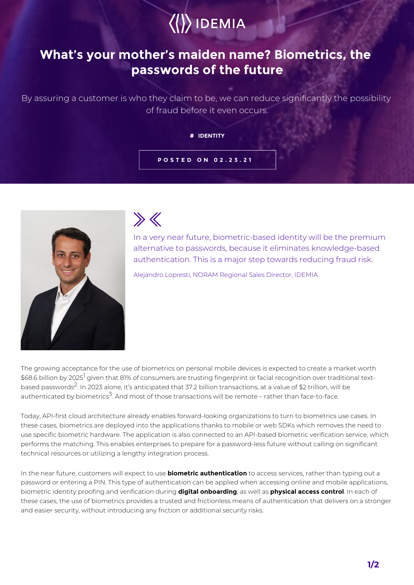

## **What's your mother's maiden name? Biometrics, the passwords of the future**

By assuring a customer is who they claim to be, we can reduce significantly the possibility of fraud before it even occurs.

## **# IDENTITY**

## **POSTED ON 02.23.21**



 $\gg K$ 

In a very near future, biometric-based identity will be the premium alternative to passwords, because it eliminates knowledge-based authentication. This is a major step towards reducing fraud risk.

Alejandro Lopresti, NORAM Regional Sales Director, IDEMIA

The growing acceptance for the use of biometrics on personal mobile devices is expected to create a market worth \$68.6 billion by 2025<sup>1</sup> given that 81% of consumers are trusting fingerprint or facial recognition over traditional textbased passwords<sup>2</sup>. In 2023 alone, it's anticipated that 37.2 billion transactions, at a value of \$2 trillion, will be authenticated by biometrics<sup>3</sup>. And most of those transactions will be remote – rather than face-to-face.

Today, API-first cloud architecture already enables forward-looking organizations to turn to biometrics use cases. In these cases, biometrics are deployed into the applications thanks to mobile or web SDKs which removes the need to use specific biometric hardware. The application is also connected to an API-based biometric verification service, which performs the matching. This enables enterprises to prepare for a password-less future without calling on significant technical resources or utilizing a lengthy integration process.

In the near future, customers will expect to use **biometric authentication** to access services, rather than typing out a password or entering a PIN. This type of authentication can be applied when accessing online and mobile applications, biometric identity proofing and verification during **digital onboarding**, as well as **physical access control**. In each of these cases, the use of biometrics provides a trusted and frictionless means of authentication that delivers on a stronger and easier security, without introducing any friction or additional security risks.